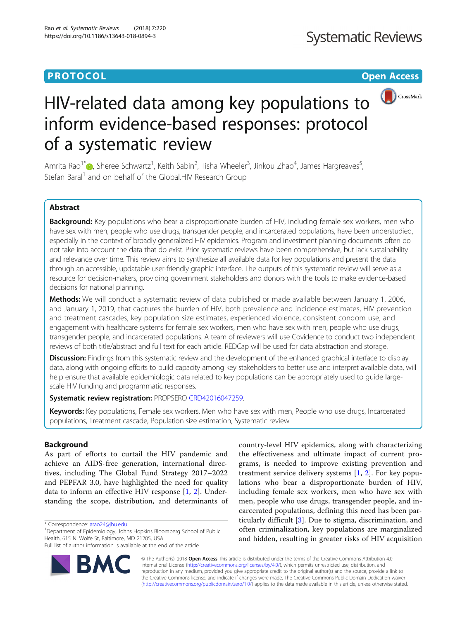## **PROTOCOL CONSUMING THE OPEN ACCESS**



# HIV-related data among key populations to inform evidence-based responses: protocol of a systematic review

Amrita Rao<sup>1\*</sup>®[,](http://orcid.org/0000-0002-9596-2418) Sheree Schwartz<sup>1</sup>, Keith Sabin<sup>2</sup>, Tisha Wheeler<sup>3</sup>, Jinkou Zhao<sup>4</sup>, James Hargreaves<sup>5</sup> , Stefan Baral<sup>1</sup> and on behalf of the Global.HIV Research Group

## Abstract

Background: Key populations who bear a disproportionate burden of HIV, including female sex workers, men who have sex with men, people who use drugs, transgender people, and incarcerated populations, have been understudied, especially in the context of broadly generalized HIV epidemics. Program and investment planning documents often do not take into account the data that do exist. Prior systematic reviews have been comprehensive, but lack sustainability and relevance over time. This review aims to synthesize all available data for key populations and present the data through an accessible, updatable user-friendly graphic interface. The outputs of this systematic review will serve as a resource for decision-makers, providing government stakeholders and donors with the tools to make evidence-based decisions for national planning.

Methods: We will conduct a systematic review of data published or made available between January 1, 2006, and January 1, 2019, that captures the burden of HIV, both prevalence and incidence estimates, HIV prevention and treatment cascades, key population size estimates, experienced violence, consistent condom use, and engagement with healthcare systems for female sex workers, men who have sex with men, people who use drugs, transgender people, and incarcerated populations. A team of reviewers will use Covidence to conduct two independent reviews of both title/abstract and full text for each article. REDCap will be used for data abstraction and storage.

Discussion: Findings from this systematic review and the development of the enhanced graphical interface to display data, along with ongoing efforts to build capacity among key stakeholders to better use and interpret available data, will help ensure that available epidemiologic data related to key populations can be appropriately used to guide largescale HIV funding and programmatic responses.

Systematic review registration: PROPSERO [CRD42016047259.](http://www.crd.york.ac.uk/prospero/display_record.php?ID=CRD42016047259)

Keywords: Key populations, Female sex workers, Men who have sex with men, People who use drugs, Incarcerated populations, Treatment cascade, Population size estimation, Systematic review

## Background

As part of efforts to curtail the HIV pandemic and achieve an AIDS-free generation, international directives, including The Global Fund Strategy 2017–2022 and PEPFAR 3.0, have highlighted the need for quality data to inform an effective HIV response [\[1](#page-5-0), [2\]](#page-5-0). Understanding the scope, distribution, and determinants of

<sup>1</sup>Department of Epidemiology, Johns Hopkins Bloomberg School of Public Health, 615 N. Wolfe St, Baltimore, MD 21205, USA

Full list of author information is available at the end of the article



country-level HIV epidemics, along with characterizing the effectiveness and ultimate impact of current programs, is needed to improve existing prevention and treatment service delivery systems [[1,](#page-5-0) [2](#page-5-0)]. For key populations who bear a disproportionate burden of HIV, including female sex workers, men who have sex with men, people who use drugs, transgender people, and incarcerated populations, defining this need has been particularly difficult [\[3](#page-5-0)]. Due to stigma, discrimination, and often criminalization, key populations are marginalized and hidden, resulting in greater risks of HIV acquisition

© The Author(s). 2018 Open Access This article is distributed under the terms of the Creative Commons Attribution 4.0 International License [\(http://creativecommons.org/licenses/by/4.0/](http://creativecommons.org/licenses/by/4.0/)), which permits unrestricted use, distribution, and reproduction in any medium, provided you give appropriate credit to the original author(s) and the source, provide a link to the Creative Commons license, and indicate if changes were made. The Creative Commons Public Domain Dedication waiver [\(http://creativecommons.org/publicdomain/zero/1.0/](http://creativecommons.org/publicdomain/zero/1.0/)) applies to the data made available in this article, unless otherwise stated.

<sup>\*</sup> Correspondence: [arao24@jhu.edu](mailto:arao24@jhu.edu) <sup>1</sup>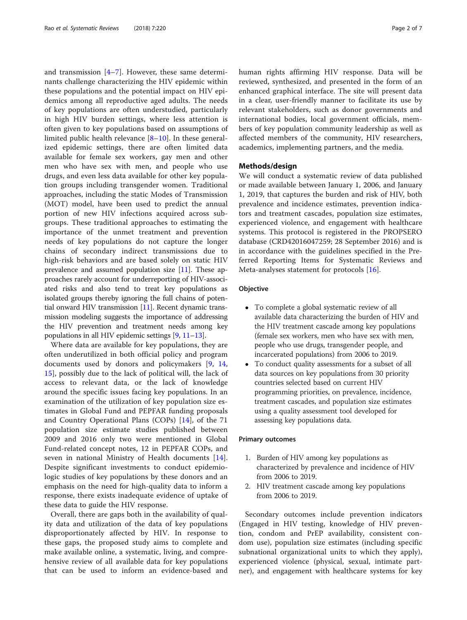and transmission [[4](#page-5-0)–[7](#page-5-0)]. However, these same determinants challenge characterizing the HIV epidemic within these populations and the potential impact on HIV epidemics among all reproductive aged adults. The needs of key populations are often understudied, particularly in high HIV burden settings, where less attention is often given to key populations based on assumptions of limited public health relevance [\[8](#page-5-0)–[10](#page-6-0)]. In these generalized epidemic settings, there are often limited data available for female sex workers, gay men and other men who have sex with men, and people who use drugs, and even less data available for other key population groups including transgender women. Traditional approaches, including the static Modes of Transmission (MOT) model, have been used to predict the annual portion of new HIV infections acquired across subgroups. These traditional approaches to estimating the importance of the unmet treatment and prevention needs of key populations do not capture the longer chains of secondary indirect transmissions due to high-risk behaviors and are based solely on static HIV prevalence and assumed population size [\[11](#page-6-0)]. These approaches rarely account for underreporting of HIV-associated risks and also tend to treat key populations as isolated groups thereby ignoring the full chains of potential onward HIV transmission  $[11]$ . Recent dynamic transmission modeling suggests the importance of addressing the HIV prevention and treatment needs among key populations in all HIV epidemic settings [\[9](#page-5-0), [11](#page-6-0)–[13\]](#page-6-0).

Where data are available for key populations, they are often underutilized in both official policy and program documents used by donors and policymakers [[9,](#page-5-0) [14](#page-6-0), [15\]](#page-6-0), possibly due to the lack of political will, the lack of access to relevant data, or the lack of knowledge around the specific issues facing key populations. In an examination of the utilization of key population size estimates in Global Fund and PEPFAR funding proposals and Country Operational Plans (COPs) [[14\]](#page-6-0), of the 71 population size estimate studies published between 2009 and 2016 only two were mentioned in Global Fund-related concept notes, 12 in PEPFAR COPs, and seven in national Ministry of Health documents [\[14](#page-6-0)]. Despite significant investments to conduct epidemiologic studies of key populations by these donors and an emphasis on the need for high-quality data to inform a response, there exists inadequate evidence of uptake of these data to guide the HIV response.

Overall, there are gaps both in the availability of quality data and utilization of the data of key populations disproportionately affected by HIV. In response to these gaps, the proposed study aims to complete and make available online, a systematic, living, and comprehensive review of all available data for key populations that can be used to inform an evidence-based and human rights affirming HIV response. Data will be reviewed, synthesized, and presented in the form of an enhanced graphical interface. The site will present data in a clear, user-friendly manner to facilitate its use by relevant stakeholders, such as donor governments and international bodies, local government officials, members of key population community leadership as well as affected members of the community, HIV researchers, academics, implementing partners, and the media.

## Methods/design

We will conduct a systematic review of data published or made available between January 1, 2006, and January 1, 2019, that captures the burden and risk of HIV, both prevalence and incidence estimates, prevention indicators and treatment cascades, population size estimates, experienced violence, and engagement with healthcare systems. This protocol is registered in the PROPSERO database (CRD42016047259; 28 September 2016) and is in accordance with the guidelines specified in the Preferred Reporting Items for Systematic Reviews and Meta-analyses statement for protocols [\[16](#page-6-0)].

## **Objective**

- To complete a global systematic review of all available data characterizing the burden of HIV and the HIV treatment cascade among key populations (female sex workers, men who have sex with men, people who use drugs, transgender people, and incarcerated populations) from 2006 to 2019.
- To conduct quality assessments for a subset of all data sources on key populations from 30 priority countries selected based on current HIV programming priorities, on prevalence, incidence, treatment cascades, and population size estimates using a quality assessment tool developed for assessing key populations data.

#### Primary outcomes

- 1. Burden of HIV among key populations as characterized by prevalence and incidence of HIV from 2006 to 2019.
- 2. HIV treatment cascade among key populations from 2006 to 2019.

Secondary outcomes include prevention indicators (Engaged in HIV testing, knowledge of HIV prevention, condom and PrEP availability, consistent condom use), population size estimates (including specific subnational organizational units to which they apply), experienced violence (physical, sexual, intimate partner), and engagement with healthcare systems for key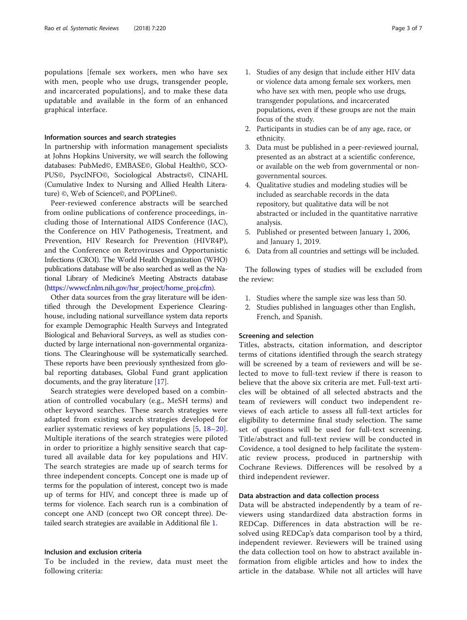populations [female sex workers, men who have sex with men, people who use drugs, transgender people, and incarcerated populations], and to make these data updatable and available in the form of an enhanced graphical interface.

#### Information sources and search strategies

In partnership with information management specialists at Johns Hopkins University, we will search the following databases: PubMed©, EMBASE©, Global Health©, SCO-PUS©, PsycINFO©, Sociological Abstracts©, CINAHL (Cumulative Index to Nursing and Allied Health Literature) ©, Web of Science©, and POPLine©.

Peer-reviewed conference abstracts will be searched from online publications of conference proceedings, including those of International AIDS Conference (IAC), the Conference on HIV Pathogenesis, Treatment, and Prevention, HIV Research for Prevention (HIVR4P), and the Conference on Retroviruses and Opportunistic Infections (CROI). The World Health Organization (WHO) publications database will be also searched as well as the National Library of Medicine's Meeting Abstracts database ([https://wwwcf.nlm.nih.gov/hsr\\_project/home\\_proj.cfm\)](https://wwwcf.nlm.nih.gov/hsr_project/home_proj.cfm).

Other data sources from the gray literature will be identified through the Development Experience Clearinghouse, including national surveillance system data reports for example Demographic Health Surveys and Integrated Biological and Behavioral Surveys, as well as studies conducted by large international non-governmental organizations. The Clearinghouse will be systematically searched. These reports have been previously synthesized from global reporting databases, Global Fund grant application documents, and the gray literature [\[17\]](#page-6-0).

Search strategies were developed based on a combination of controlled vocabulary (e.g., MeSH terms) and other keyword searches. These search strategies were adapted from existing search strategies developed for earlier systematic reviews of key populations [[5,](#page-5-0) [18](#page-6-0)–[20](#page-6-0)]. Multiple iterations of the search strategies were piloted in order to prioritize a highly sensitive search that captured all available data for key populations and HIV. The search strategies are made up of search terms for three independent concepts. Concept one is made up of terms for the population of interest, concept two is made up of terms for HIV, and concept three is made up of terms for violence. Each search run is a combination of concept one AND (concept two OR concept three). Detailed search strategies are available in Additional file [1](#page-5-0).

## Inclusion and exclusion criteria

To be included in the review, data must meet the following criteria:

- 1. Studies of any design that include either HIV data or violence data among female sex workers, men who have sex with men, people who use drugs, transgender populations, and incarcerated populations, even if these groups are not the main focus of the study.
- 2. Participants in studies can be of any age, race, or ethnicity.
- 3. Data must be published in a peer-reviewed journal, presented as an abstract at a scientific conference, or available on the web from governmental or nongovernmental sources.
- 4. Qualitative studies and modeling studies will be included as searchable records in the data repository, but qualitative data will be not abstracted or included in the quantitative narrative analysis.
- 5. Published or presented between January 1, 2006, and January 1, 2019.
- 6. Data from all countries and settings will be included.

The following types of studies will be excluded from the review:

- 1. Studies where the sample size was less than 50.
- 2. Studies published in languages other than English, French, and Spanish.

#### Screening and selection

Titles, abstracts, citation information, and descriptor terms of citations identified through the search strategy will be screened by a team of reviewers and will be selected to move to full-text review if there is reason to believe that the above six criteria are met. Full-text articles will be obtained of all selected abstracts and the team of reviewers will conduct two independent reviews of each article to assess all full-text articles for eligibility to determine final study selection. The same set of questions will be used for full-text screening. Title/abstract and full-text review will be conducted in Covidence, a tool designed to help facilitate the systematic review process, produced in partnership with Cochrane Reviews. Differences will be resolved by a third independent reviewer.

### Data abstraction and data collection process

Data will be abstracted independently by a team of reviewers using standardized data abstraction forms in REDCap. Differences in data abstraction will be resolved using REDCap's data comparison tool by a third, independent reviewer. Reviewers will be trained using the data collection tool on how to abstract available information from eligible articles and how to index the article in the database. While not all articles will have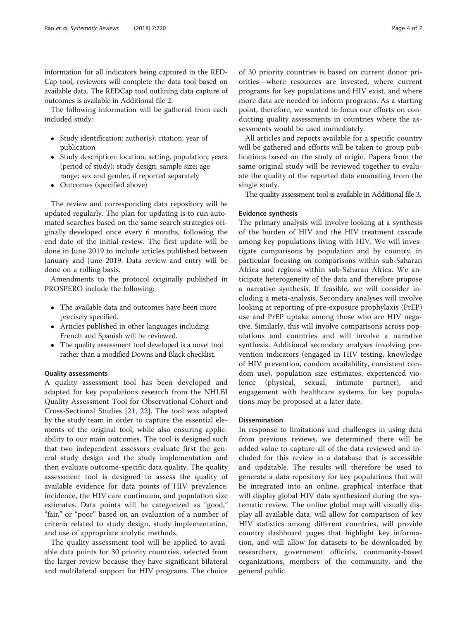information for all indicators being captured in the RED-Cap tool, reviewers will complete the data tool based on available data. The REDCap tool outlining data capture of outcomes is available in Additional file [2](#page-5-0).

The following information will be gathered from each included study:

- Study identification: author(s); citation; year of publication
- Study description: location, setting, population; years (period of study); study design; sample size; age range; sex and gender, if reported separately
- Outcomes (specified above)

The review and corresponding data repository will be updated regularly. The plan for updating is to run automated searches based on the same search strategies originally developed once every 6 months, following the end date of the initial review. The first update will be done in June 2019 to include articles published between January and June 2019. Data review and entry will be done on a rolling basis.

Amendments to the protocol originally published in PROSPERO include the following:

- The available data and outcomes have been more precisely specified.
- Articles published in other languages including French and Spanish will be reviewed.
- The quality assessment tool developed is a novel tool rather than a modified Downs and Black checklist.

#### Quality assessments

A quality assessment tool has been developed and adapted for key populations research from the NHLBI Quality Assessment Tool for Observational Cohort and Cross-Sectional Studies [[21,](#page-6-0) [22\]](#page-6-0). The tool was adapted by the study team in order to capture the essential elements of the original tool, while also ensuring applicability to our main outcomes. The tool is designed such that two independent assessors evaluate first the general study design and the study implementation and then evaluate outcome-specific data quality. The quality assessment tool is designed to assess the quality of available evidence for data points of HIV prevalence, incidence, the HIV care continuum, and population size estimates. Data points will be categorized as "good," "fair," or "poor" based on an evaluation of a number of criteria related to study design, study implementation, and use of appropriate analytic methods.

The quality assessment tool will be applied to available data points for 30 priority countries, selected from the larger review because they have significant bilateral and multilateral support for HIV programs. The choice of 30 priority countries is based on current donor priorities—where resources are invested, where current programs for key populations and HIV exist, and where more data are needed to inform programs. As a starting point, therefore, we wanted to focus our efforts on conducting quality assessments in countries where the assessments would be used immediately.

All articles and reports available for a specific country will be gathered and efforts will be taken to group publications based on the study of origin. Papers from the same original study will be reviewed together to evaluate the quality of the reported data emanating from the single study.

The quality assessment tool is available in Additional file [3](#page-5-0).

#### Evidence synthesis

The primary analysis will involve looking at a synthesis of the burden of HIV and the HIV treatment cascade among key populations living with HIV. We will investigate comparisons by population and by country, in particular focusing on comparisons within sub-Saharan Africa and regions within sub-Saharan Africa. We anticipate heterogeneity of the data and therefore propose a narrative synthesis. If feasible, we will consider including a meta-analysis. Secondary analyses will involve looking at reporting of pre-exposure prophylaxis (PrEP) use and PrEP uptake among those who are HIV negative. Similarly, this will involve comparisons across populations and countries and will involve a narrative synthesis. Additional secondary analyses involving prevention indicators (engaged in HIV testing, knowledge of HIV prevention, condom availability, consistent condom use), population size estimates, experienced violence (physical, sexual, intimate partner), and engagement with healthcare systems for key populations may be proposed at a later date.

## Dissemination

In response to limitations and challenges in using data from previous reviews, we determined there will be added value to capture all of the data reviewed and included for this review in a database that is accessible and updatable. The results will therefore be used to generate a data repository for key populations that will be integrated into an online, graphical interface that will display global HIV data synthesized during the systematic review. The online global map will visually display all available data, will allow for comparison of key HIV statistics among different countries, will provide country dashboard pages that highlight key information, and will allow for datasets to be downloaded by researchers, government officials, community-based organizations, members of the community, and the general public.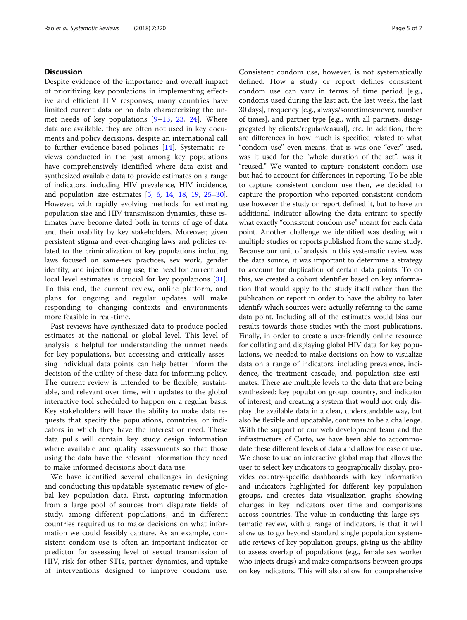## **Discussion**

Despite evidence of the importance and overall impact of prioritizing key populations in implementing effective and efficient HIV responses, many countries have limited current data or no data characterizing the unmet needs of key populations [\[9](#page-5-0)–[13](#page-6-0), [23,](#page-6-0) [24\]](#page-6-0). Where data are available, they are often not used in key documents and policy decisions, despite an international call to further evidence-based policies [[14\]](#page-6-0). Systematic reviews conducted in the past among key populations have comprehensively identified where data exist and synthesized available data to provide estimates on a range of indicators, including HIV prevalence, HIV incidence, and population size estimates [\[5,](#page-5-0) [6](#page-5-0), [14,](#page-6-0) [18](#page-6-0), [19](#page-6-0), [25](#page-6-0)–[30](#page-6-0)]. However, with rapidly evolving methods for estimating population size and HIV transmission dynamics, these estimates have become dated both in terms of age of data and their usability by key stakeholders. Moreover, given persistent stigma and ever-changing laws and policies related to the criminalization of key populations including laws focused on same-sex practices, sex work, gender identity, and injection drug use, the need for current and local level estimates is crucial for key populations [[31](#page-6-0)]. To this end, the current review, online platform, and plans for ongoing and regular updates will make responding to changing contexts and environments more feasible in real-time.

Past reviews have synthesized data to produce pooled estimates at the national or global level. This level of analysis is helpful for understanding the unmet needs for key populations, but accessing and critically assessing individual data points can help better inform the decision of the utility of these data for informing policy. The current review is intended to be flexible, sustainable, and relevant over time, with updates to the global interactive tool scheduled to happen on a regular basis. Key stakeholders will have the ability to make data requests that specify the populations, countries, or indicators in which they have the interest or need. These data pulls will contain key study design information where available and quality assessments so that those using the data have the relevant information they need to make informed decisions about data use.

We have identified several challenges in designing and conducting this updatable systematic review of global key population data. First, capturing information from a large pool of sources from disparate fields of study, among different populations, and in different countries required us to make decisions on what information we could feasibly capture. As an example, consistent condom use is often an important indicator or predictor for assessing level of sexual transmission of HIV, risk for other STIs, partner dynamics, and uptake of interventions designed to improve condom use.

Consistent condom use, however, is not systematically defined. How a study or report defines consistent condom use can vary in terms of time period [e.g., condoms used during the last act, the last week, the last 30 days], frequency [e.g., always/sometimes/never, number of times], and partner type [e.g., with all partners, disaggregated by clients/regular/casual], etc. In addition, there are differences in how much is specified related to what "condom use" even means, that is was one "ever" used, was it used for the "whole duration of the act", was it "reused." We wanted to capture consistent condom use but had to account for differences in reporting. To be able to capture consistent condom use then, we decided to capture the proportion who reported consistent condom use however the study or report defined it, but to have an additional indicator allowing the data entrant to specify what exactly "consistent condom use" meant for each data point. Another challenge we identified was dealing with multiple studies or reports published from the same study. Because our unit of analysis in this systematic review was the data source, it was important to determine a strategy to account for duplication of certain data points. To do this, we created a cohort identifier based on key information that would apply to the study itself rather than the publication or report in order to have the ability to later identify which sources were actually referring to the same data point. Including all of the estimates would bias our results towards those studies with the most publications. Finally, in order to create a user-friendly online resource for collating and displaying global HIV data for key populations, we needed to make decisions on how to visualize data on a range of indicators, including prevalence, incidence, the treatment cascade, and population size estimates. There are multiple levels to the data that are being synthesized: key population group, country, and indicator of interest, and creating a system that would not only display the available data in a clear, understandable way, but also be flexible and updatable, continues to be a challenge. With the support of our web development team and the infrastructure of Carto, we have been able to accommodate these different levels of data and allow for ease of use. We chose to use an interactive global map that allows the user to select key indicators to geographically display, provides country-specific dashboards with key information and indicators highlighted for different key population groups, and creates data visualization graphs showing changes in key indicators over time and comparisons across countries. The value in conducting this large systematic review, with a range of indicators, is that it will allow us to go beyond standard single population systematic reviews of key population groups, giving us the ability to assess overlap of populations (e.g., female sex worker who injects drugs) and make comparisons between groups on key indicators. This will also allow for comprehensive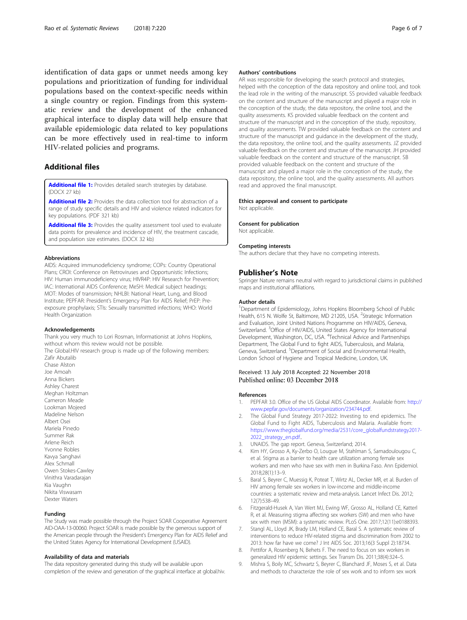<span id="page-5-0"></span>identification of data gaps or unmet needs among key populations and prioritization of funding for individual populations based on the context-specific needs within a single country or region. Findings from this systematic review and the development of the enhanced graphical interface to display data will help ensure that available epidemiologic data related to key populations can be more effectively used in real-time to inform HIV-related policies and programs.

## Additional files

[Additional file 1:](https://doi.org/10.1186/s13643-018-0894-3) Provides detailed search strategies by database. (DOCX 27 kb)

[Additional file 2:](https://doi.org/10.1186/s13643-018-0894-3) Provides the data collection tool for abstraction of a range of study specific details and HIV and violence related indicators for key populations. (PDF 321 kb)

[Additional file 3:](https://doi.org/10.1186/s13643-018-0894-3) Provides the quality assessment tool used to evaluate data points for prevalence and incidence of HIV, the treatment cascade, and population size estimates. (DOCX 32 kb)

#### Abbreviations

AIDS: Acquired immunodeficiency syndrome; COPs: Country Operational Plans; CROI: Conference on Retroviruses and Opportunistic Infections; HIV: Human immunodeficiency virus; HIVR4P: HIV Research for Prevention; IAC: International AIDS Conference; MeSH: Medical subject headings; MOT: Modes of transmission; NHLBI: National Heart, Lung, and Blood Institute; PEPFAR: President's Emergency Plan for AIDS Relief; PrEP: Preexposure prophylaxis; STIs: Sexually transmitted infections; WHO: World Health Organization

#### Acknowledgements

Thank you very much to Lori Rosman, Informationist at Johns Hopkins, without whom this review would not be possible.

The Global.HIV research group is made up of the following members: Zafir Abutalib

Chase Alston Joe Amoah Anna Bickers Ashley Charest Meghan Holtzman Cameron Meade Lookman Mojeed Madeline Nelson Albert Osei Mariela Pinedo Summer Rak Arlene Reich Yvonne Robles Kavya Sanghavi Alex Schmall Owen Stokes-Cawley Vinithra Varadarajan Kia Vaughn Nikita Viswasam Dexter Waters

## Funding

The Study was made possible through the Project SOAR Cooperative Agreement AID-OAA-13-00060. Project SOAR is made possible by the generous support of the American people through the President's Emergency Plan for AIDS Relief and the United States Agency for International Development (USAID).

#### Availability of data and materials

The data repository generated during this study will be available upon completion of the review and generation of the graphical interface at global.hiv.

#### Authors' contributions

AR was responsible for developing the search protocol and strategies, helped with the conception of the data repository and online tool, and took the lead role in the writing of the manuscript. SS provided valuable feedback on the content and structure of the manuscript and played a major role in the conception of the study, the data repository, the online tool, and the quality assessments. KS provided valuable feedback on the content and structure of the manuscript and in the conception of the study, repository, and quality assessments. TW provided valuable feedback on the content and structure of the manuscript and guidance in the development of the study, the data repository, the online tool, and the quality assessments. JZ provided valuable feedback on the content and structure of the manuscript. JH provided valuable feedback on the content and structure of the manuscript. SB provided valuable feedback on the content and structure of the manuscript and played a major role in the conception of the study, the data repository, the online tool, and the quality assessments. All authors read and approved the final manuscript.

#### Ethics approval and consent to participate

Not applicable.

#### Consent for publication

Not applicable.

#### Competing interests

The authors declare that they have no competing interests.

#### Publisher's Note

Springer Nature remains neutral with regard to jurisdictional claims in published maps and institutional affiliations.

#### Author details

<sup>1</sup>Department of Epidemiology, Johns Hopkins Bloomberg School of Public Health, 615 N. Wolfe St, Baltimore, MD 21205, USA. <sup>2</sup>Strategic Information and Evaluation, Joint United Nations Programme on HIV/AIDS, Geneva, Switzerland. <sup>3</sup>Office of HIV/AIDS, United States Agency for International Development, Washington, DC, USA. <sup>4</sup>Technical Advice and Partnerships Department, The Global Fund to fight AIDS, Tuberculosis, and Malaria, Geneva, Switzerland. <sup>5</sup>Department of Social and Environmental Health London School of Hygiene and Tropical Medicine, London, UK.

#### Received: 13 July 2018 Accepted: 22 November 2018 Published online: 03 December 2018

#### References

- 1. PEPFAR 3.0. Office of the US Global AIDS Coordinator. Available from: [http://](http://www.pepfar.gov/documents/organization/234744.pdf) [www.pepfar.gov/documents/organization/234744.pdf.](http://www.pepfar.gov/documents/organization/234744.pdf)
- 2. The Global Fund Strategy 2017-2022: Investing to end epidemics. The Global Fund to Fight AIDS, Tuberculosis and Malaria. Available from: [https://www.theglobalfund.org/media/2531/core\\_globalfundstrategy2017-](https://www.theglobalfund.org/media/2531/core_globalfundstrategy2017-2022_strategy_en.pdf) [2022\\_strategy\\_en.pdf.](https://www.theglobalfund.org/media/2531/core_globalfundstrategy2017-2022_strategy_en.pdf).
- 3. UNAIDS. The gap report. Geneva, Switzerland; 2014.
- 4. Kim HY, Grosso A, Ky-Zerbo O, Lougue M, Stahlman S, Samadoulougou C, et al. Stigma as a barrier to health care utilization among female sex workers and men who have sex with men in Burkina Faso. Ann Epidemiol. 2018;28(1):13–9.
- Baral S, Beyrer C, Muessig K, Poteat T, Wirtz AL, Decker MR, et al. Burden of HIV among female sex workers in low-income and middle-income countries: a systematic review and meta-analysis. Lancet Infect Dis. 2012; 12(7):538–49.
- 6. Fitzgerald-Husek A, Van Wert MJ, Ewing WF, Grosso AL, Holland CE, Katterl R, et al. Measuring stigma affecting sex workers (SW) and men who have sex with men (MSM): a systematic review. PLoS One. 2017;12(11):e0188393.
- 7. Stangl AL, Lloyd JK, Brady LM, Holland CE, Baral S. A systematic review of interventions to reduce HIV-related stigma and discrimination from 2002 to 2013: how far have we come? J Int AIDS Soc. 2013;16(3 Suppl 2):18734.
- 8. Pettifor A, Rosenberg N, Behets F. The need to focus on sex workers in generalized HIV epidemic settings. Sex Transm Dis. 2011;38(4):324–5.
- 9. Mishra S, Boily MC, Schwartz S, Beyrer C, Blanchard JF, Moses S, et al. Data and methods to characterize the role of sex work and to inform sex work